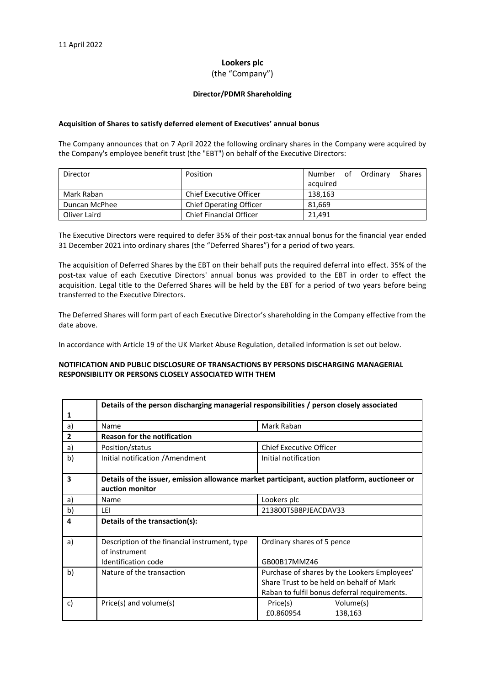# **Lookers plc**

### (the "Company")

#### **Director/PDMR Shareholding**

#### **Acquisition of Shares to satisfy deferred element of Executives' annual bonus**

The Company announces that on 7 April 2022 the following ordinary shares in the Company were acquired by the Company's employee benefit trust (the "EBT") on behalf of the Executive Directors:

| Director      | Position                       | Number   | of Ordinary | <b>Shares</b> |
|---------------|--------------------------------|----------|-------------|---------------|
|               |                                | acquired |             |               |
| Mark Raban    | Chief Executive Officer        | 138.163  |             |               |
| Duncan McPhee | <b>Chief Operating Officer</b> | 81.669   |             |               |
| Oliver Laird  | <b>Chief Financial Officer</b> | 21.491   |             |               |

The Executive Directors were required to defer 35% of their post-tax annual bonus for the financial year ended 31 December 2021 into ordinary shares (the "Deferred Shares") for a period of two years.

The acquisition of Deferred Shares by the EBT on their behalf puts the required deferral into effect. 35% of the post-tax value of each Executive Directors' annual bonus was provided to the EBT in order to effect the acquisition. Legal title to the Deferred Shares will be held by the EBT for a period of two years before being transferred to the Executive Directors.

The Deferred Shares will form part of each Executive Director's shareholding in the Company effective from the date above.

In accordance with Article 19 of the UK Market Abuse Regulation, detailed information is set out below.

# **NOTIFICATION AND PUBLIC DISCLOSURE OF TRANSACTIONS BY PERSONS DISCHARGING MANAGERIAL RESPONSIBILITY OR PERSONS CLOSELY ASSOCIATED WITH THEM**

|                | Details of the person discharging managerial responsibilities / person closely associated                        |                                                                                                                                          |  |  |
|----------------|------------------------------------------------------------------------------------------------------------------|------------------------------------------------------------------------------------------------------------------------------------------|--|--|
| 1              |                                                                                                                  |                                                                                                                                          |  |  |
| a)             | Name                                                                                                             | Mark Raban                                                                                                                               |  |  |
| $\overline{2}$ | <b>Reason for the notification</b>                                                                               |                                                                                                                                          |  |  |
| a)             | Position/status                                                                                                  | <b>Chief Executive Officer</b>                                                                                                           |  |  |
| b)             | Initial notification / Amendment                                                                                 | Initial notification                                                                                                                     |  |  |
| 3              | Details of the issuer, emission allowance market participant, auction platform, auctioneer or<br>auction monitor |                                                                                                                                          |  |  |
| a)             | Name                                                                                                             | Lookers plc                                                                                                                              |  |  |
| b)             | LEI                                                                                                              | 213800TSB8PJEACDAV33                                                                                                                     |  |  |
| 4              | Details of the transaction(s):                                                                                   |                                                                                                                                          |  |  |
| a)             | Description of the financial instrument, type<br>of instrument                                                   | Ordinary shares of 5 pence                                                                                                               |  |  |
|                | Identification code                                                                                              | GB00B17MMZ46                                                                                                                             |  |  |
| b)             | Nature of the transaction                                                                                        | Purchase of shares by the Lookers Employees'<br>Share Trust to be held on behalf of Mark<br>Raban to fulfil bonus deferral requirements. |  |  |
| c)             | Price(s) and volume(s)                                                                                           | Volume(s)<br>Price(s)<br>£0.860954<br>138,163                                                                                            |  |  |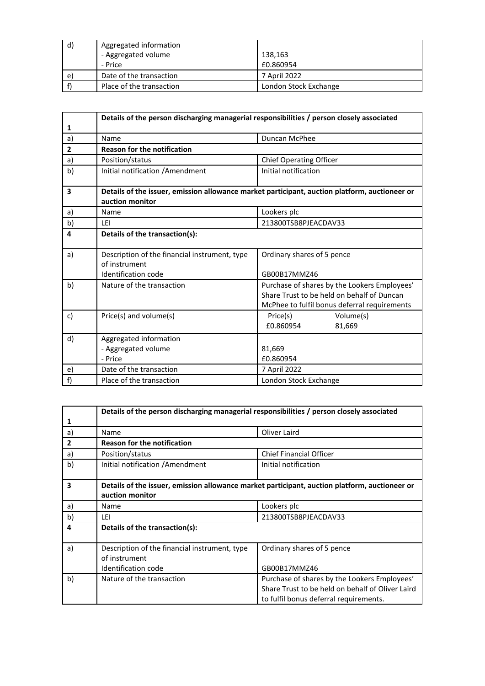| d) | Aggregated information   |                       |
|----|--------------------------|-----------------------|
|    | - Aggregated volume      | 138,163               |
|    | - Price                  | £0.860954             |
| e) | Date of the transaction  | 7 April 2022          |
|    | Place of the transaction | London Stock Exchange |

|                         | Details of the person discharging managerial responsibilities / person closely associated                        |                                                                                                                                            |  |  |
|-------------------------|------------------------------------------------------------------------------------------------------------------|--------------------------------------------------------------------------------------------------------------------------------------------|--|--|
| 1                       |                                                                                                                  |                                                                                                                                            |  |  |
| a)                      | Name                                                                                                             | Duncan McPhee                                                                                                                              |  |  |
| $\overline{2}$          | <b>Reason for the notification</b>                                                                               |                                                                                                                                            |  |  |
| a)                      | Position/status                                                                                                  | <b>Chief Operating Officer</b>                                                                                                             |  |  |
| b)                      | Initial notification / Amendment                                                                                 | Initial notification                                                                                                                       |  |  |
| $\overline{\mathbf{3}}$ | Details of the issuer, emission allowance market participant, auction platform, auctioneer or<br>auction monitor |                                                                                                                                            |  |  |
| a)                      | Name                                                                                                             | Lookers plc                                                                                                                                |  |  |
| b)                      | I FI                                                                                                             | 213800TSB8PJEACDAV33                                                                                                                       |  |  |
| 4                       | Details of the transaction(s):                                                                                   |                                                                                                                                            |  |  |
| a)                      | Description of the financial instrument, type<br>of instrument<br><b>Identification code</b>                     | Ordinary shares of 5 pence<br>GB00B17MMZ46                                                                                                 |  |  |
| b)                      | Nature of the transaction                                                                                        | Purchase of shares by the Lookers Employees'<br>Share Trust to be held on behalf of Duncan<br>McPhee to fulfil bonus deferral requirements |  |  |
| c)                      | Price(s) and volume(s)                                                                                           | Volume(s)<br>Price(s)<br>£0.860954<br>81,669                                                                                               |  |  |
| d)                      | Aggregated information<br>- Aggregated volume<br>- Price                                                         | 81,669<br>£0.860954                                                                                                                        |  |  |
| e)                      | Date of the transaction                                                                                          | 7 April 2022                                                                                                                               |  |  |
| f                       | Place of the transaction                                                                                         | London Stock Exchange                                                                                                                      |  |  |

|                | Details of the person discharging managerial responsibilities / person closely associated                        |                                                  |  |
|----------------|------------------------------------------------------------------------------------------------------------------|--------------------------------------------------|--|
| 1              |                                                                                                                  |                                                  |  |
| a)             | Name                                                                                                             | Oliver Laird                                     |  |
| $\overline{2}$ | <b>Reason for the notification</b>                                                                               |                                                  |  |
| a)             | Position/status                                                                                                  | <b>Chief Financial Officer</b>                   |  |
| b)             | Initial notification / Amendment                                                                                 | Initial notification                             |  |
| 3              | Details of the issuer, emission allowance market participant, auction platform, auctioneer or<br>auction monitor |                                                  |  |
| a)             | Name                                                                                                             | Lookers plc                                      |  |
| b)             | LEI                                                                                                              | 213800TSB8PJEACDAV33                             |  |
| 4              | Details of the transaction(s):                                                                                   |                                                  |  |
| a)             | Description of the financial instrument, type<br>of instrument                                                   | Ordinary shares of 5 pence                       |  |
|                | <b>Identification code</b>                                                                                       | GB00B17MMZ46                                     |  |
| b)             | Nature of the transaction                                                                                        | Purchase of shares by the Lookers Employees'     |  |
|                |                                                                                                                  | Share Trust to be held on behalf of Oliver Laird |  |
|                |                                                                                                                  | to fulfil bonus deferral requirements.           |  |